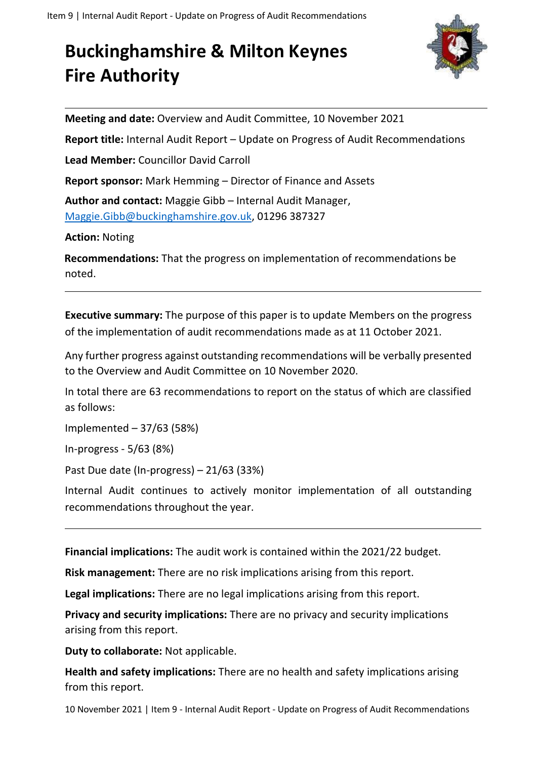## **Buckinghamshire & Milton Keynes Fire Authority**



**Meeting and date:** Overview and Audit Committee, 10 November 2021

**Report title:** Internal Audit Report – Update on Progress of Audit Recommendations

**Lead Member:** Councillor David Carroll

**Report sponsor:** Mark Hemming – Director of Finance and Assets

**Author and contact:** Maggie Gibb – Internal Audit Manager, [Maggie.Gibb@buckinghamshire.gov.uk,](mailto:Maggie.Gibb@buckinghamshire.gov.uk) 01296 387327

**Action:** Noting

**Recommendations:** That the progress on implementation of recommendations be noted.

**Executive summary:** The purpose of this paper is to update Members on the progress of the implementation of audit recommendations made as at 11 October 2021.

Any further progress against outstanding recommendations will be verbally presented to the Overview and Audit Committee on 10 November 2020.

In total there are 63 recommendations to report on the status of which are classified as follows:

Implemented – 37/63 (58%)

In-progress - 5/63 (8%)

Past Due date (In-progress) – 21/63 (33%)

Internal Audit continues to actively monitor implementation of all outstanding recommendations throughout the year.

**Financial implications:** The audit work is contained within the 2021/22 budget.

**Risk management:** There are no risk implications arising from this report.

**Legal implications:** There are no legal implications arising from this report.

**Privacy and security implications:** There are no privacy and security implications arising from this report.

**Duty to collaborate:** Not applicable.

**Health and safety implications:** There are no health and safety implications arising from this report.

10 November 2021 | Item 9 - Internal Audit Report - Update on Progress of Audit Recommendations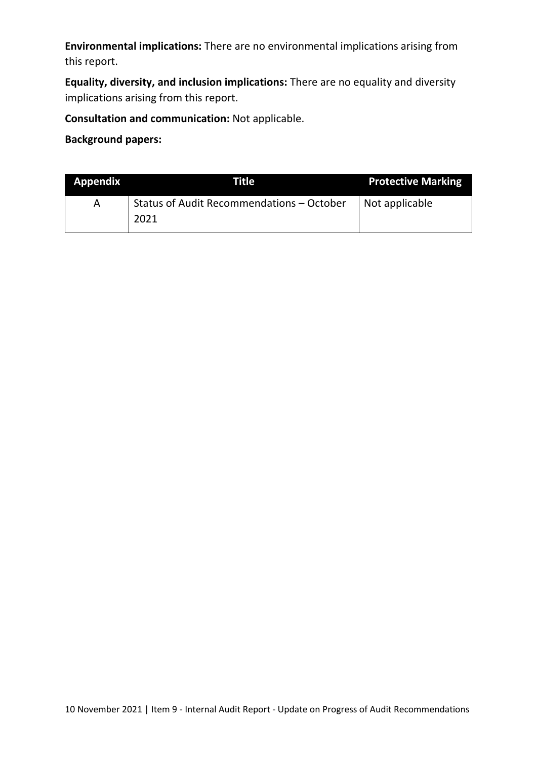**Environmental implications:** There are no environmental implications arising from this report.

**Equality, diversity, and inclusion implications:** There are no equality and diversity implications arising from this report.

**Consultation and communication:** Not applicable.

**Background papers:**

| <b>Appendix</b> | Title                                     | <b>Protective Marking</b> |
|-----------------|-------------------------------------------|---------------------------|
| A               | Status of Audit Recommendations - October | Not applicable            |
|                 | 2021                                      |                           |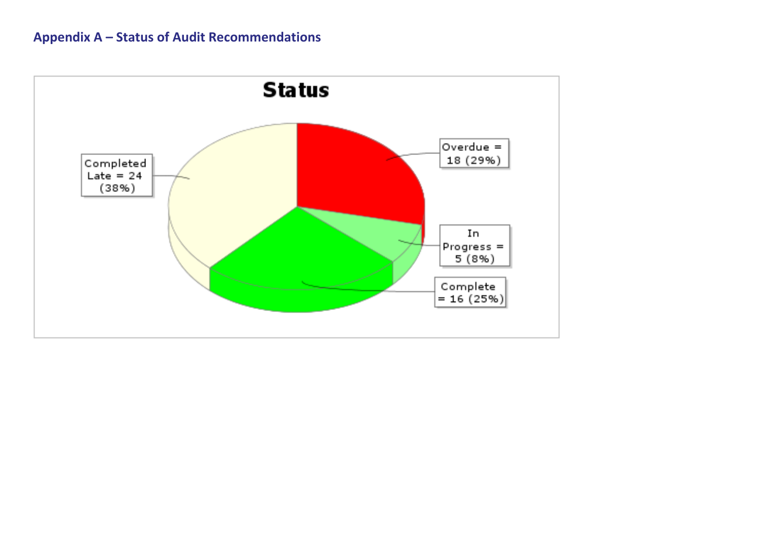## **Appendix A – Status of Audit Recommendations**

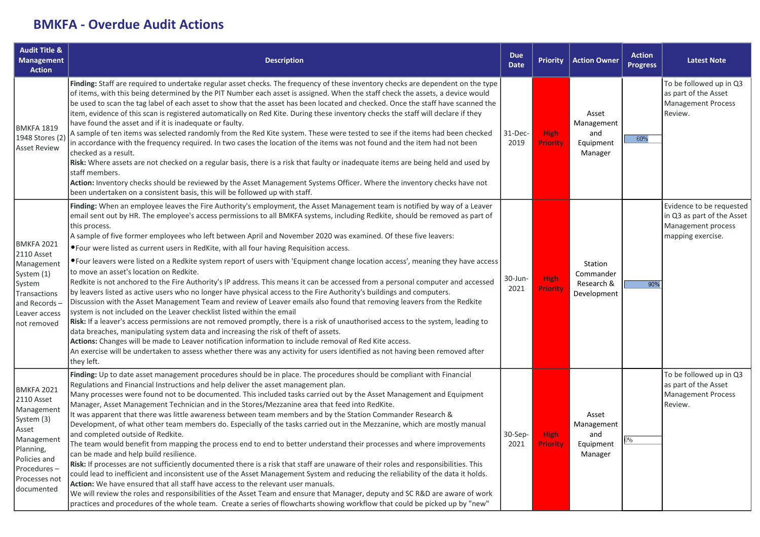## **BMKFA - Overdue Audit Actions**

| <b>Audit Title &amp;</b><br><b>Management</b><br><b>Action</b>                                                                                                | <b>Description</b>                                                                                                                                                                                                                                                                                                                                                                                                                                                                                                                                                                                                                                                                                                                                                                                                                                                                                                                                                                                                                                                                                                                                                                                                                                                                                                                                                                                                                                                                                                                                                                                                                | <b>Due</b><br><b>Date</b> | <b>Priority</b>                | <b>Action Owner</b>                                | <b>Action</b><br><b>Progress</b> | <b>Latest Note</b>                                                                                |
|---------------------------------------------------------------------------------------------------------------------------------------------------------------|-----------------------------------------------------------------------------------------------------------------------------------------------------------------------------------------------------------------------------------------------------------------------------------------------------------------------------------------------------------------------------------------------------------------------------------------------------------------------------------------------------------------------------------------------------------------------------------------------------------------------------------------------------------------------------------------------------------------------------------------------------------------------------------------------------------------------------------------------------------------------------------------------------------------------------------------------------------------------------------------------------------------------------------------------------------------------------------------------------------------------------------------------------------------------------------------------------------------------------------------------------------------------------------------------------------------------------------------------------------------------------------------------------------------------------------------------------------------------------------------------------------------------------------------------------------------------------------------------------------------------------------|---------------------------|--------------------------------|----------------------------------------------------|----------------------------------|---------------------------------------------------------------------------------------------------|
| <b>BMKFA 1819</b><br>1948 Stores (2)<br><b>Asset Review</b>                                                                                                   | Finding: Staff are required to undertake regular asset checks. The frequency of these inventory checks are dependent on the type<br>of items, with this being determined by the PIT Number each asset is assigned. When the staff check the assets, a device would<br>be used to scan the tag label of each asset to show that the asset has been located and checked. Once the staff have scanned the<br>item, evidence of this scan is registered automatically on Red Kite. During these inventory checks the staff will declare if they<br>have found the asset and if it is inadequate or faulty.<br>A sample of ten items was selected randomly from the Red Kite system. These were tested to see if the items had been checked<br>in accordance with the frequency required. In two cases the location of the items was not found and the item had not been<br>checked as a result.<br>Risk: Where assets are not checked on a regular basis, there is a risk that faulty or inadequate items are being held and used by<br>staff members.<br>Action: Inventory checks should be reviewed by the Asset Management Systems Officer. Where the inventory checks have not<br>been undertaken on a consistent basis, this will be followed up with staff.                                                                                                                                                                                                                                                                                                                                                                     | 31-Dec-<br>2019           | <b>High</b><br><b>Priority</b> | Asset<br>Management<br>and<br>Equipment<br>Manager | 60%                              | To be followed up in Q3<br>as part of the Asset<br><b>Management Process</b><br>Review.           |
| <b>BMKFA 2021</b><br>2110 Asset<br>Management<br>System (1)<br>System<br><b>Transactions</b><br>and Records-<br>Leaver access<br>not removed                  | Finding: When an employee leaves the Fire Authority's employment, the Asset Management team is notified by way of a Leaver<br>email sent out by HR. The employee's access permissions to all BMKFA systems, including Redkite, should be removed as part of<br>this process.<br>A sample of five former employees who left between April and November 2020 was examined. Of these five leavers:<br>• Four were listed as current users in RedKite, with all four having Requisition access.<br>• Four leavers were listed on a Redkite system report of users with 'Equipment change location access', meaning they have access<br>to move an asset's location on Redkite.<br>Redkite is not anchored to the Fire Authority's IP address. This means it can be accessed from a personal computer and accessed<br>by leavers listed as active users who no longer have physical access to the Fire Authority's buildings and computers.<br>Discussion with the Asset Management Team and review of Leaver emails also found that removing leavers from the Redkite<br>system is not included on the Leaver checklist listed within the email<br>Risk: If a leaver's access permissions are not removed promptly, there is a risk of unauthorised access to the system, leading to<br>data breaches, manipulating system data and increasing the risk of theft of assets.<br>Actions: Changes will be made to Leaver notification information to include removal of Red Kite access.<br>An exercise will be undertaken to assess whether there was any activity for users identified as not having been removed after<br>they left. | $30$ -Jun-<br>2021        | High<br><b>Priority</b>        | Station<br>Commander<br>Research &<br>Development  | 90%                              | Evidence to be requested<br>in Q3 as part of the Asset<br>Management process<br>mapping exercise. |
| <b>BMKFA 2021</b><br>2110 Asset<br>Management<br>System (3)<br>Asset<br>Management<br>Planning,<br>Policies and<br>Procedures-<br>Processes not<br>documented | Finding: Up to date asset management procedures should be in place. The procedures should be compliant with Financial<br>Regulations and Financial Instructions and help deliver the asset management plan.<br>Many processes were found not to be documented. This included tasks carried out by the Asset Management and Equipment<br>Manager, Asset Management Technician and in the Stores/Mezzanine area that feed into RedKite.<br>It was apparent that there was little awareness between team members and by the Station Commander Research &<br>Development, of what other team members do. Especially of the tasks carried out in the Mezzanine, which are mostly manual<br>and completed outside of Redkite.<br>The team would benefit from mapping the process end to end to better understand their processes and where improvements<br>can be made and help build resilience.<br>Risk: If processes are not sufficiently documented there is a risk that staff are unaware of their roles and responsibilities. This<br>could lead to inefficient and inconsistent use of the Asset Management System and reducing the reliability of the data it holds.<br>Action: We have ensured that all staff have access to the relevant user manuals.<br>We will review the roles and responsibilities of the Asset Team and ensure that Manager, deputy and SC R&D are aware of work<br>practices and procedures of the whole team. Create a series of flowcharts showing workflow that could be picked up by "new"                                                                                                         | 30-Sep-<br>2021           | <b>High</b><br><b>Priority</b> | Asset<br>Management<br>and<br>Equipment<br>Manager | )%                               | To be followed up in Q3<br>as part of the Asset<br><b>Management Process</b><br>Review.           |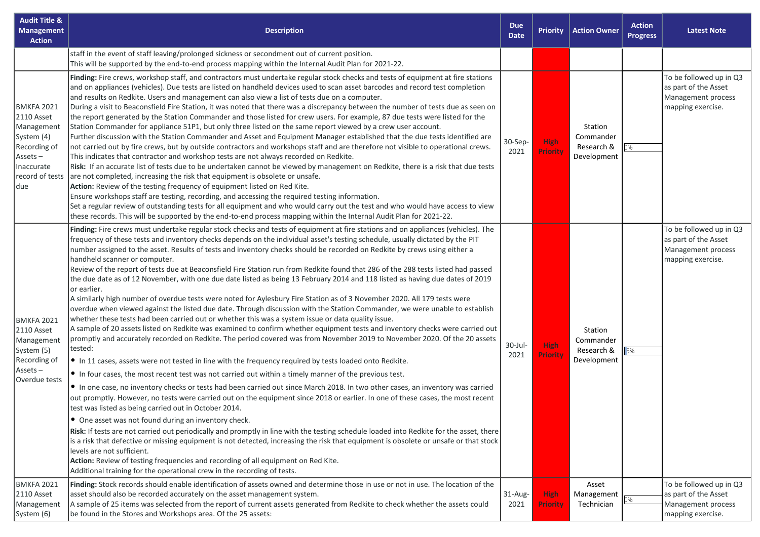| <b>Audit Title &amp;</b><br><b>Management</b><br><b>Action</b>                                                                    | <b>Description</b>                                                                                                                                                                                                                                                                                                                                                                                                                                                                                                                                                                                                                                                                                                                                                                                                                                                                                                                                                                                                                                                                                                                                                                                                                                                                                                                                                                                                                                                                                                                                                                                                                                                                                                                                                                                                                                                                                                                                                                                                                                                                                                                                                                                                                                                                                                                                                                                                                                        | <b>Due</b><br><b>Date</b> | <b>Priority</b>                | <b>Action Owner</b>                               | <b>Action</b><br><b>Progress</b> | <b>Latest Note</b>                                                                         |
|-----------------------------------------------------------------------------------------------------------------------------------|-----------------------------------------------------------------------------------------------------------------------------------------------------------------------------------------------------------------------------------------------------------------------------------------------------------------------------------------------------------------------------------------------------------------------------------------------------------------------------------------------------------------------------------------------------------------------------------------------------------------------------------------------------------------------------------------------------------------------------------------------------------------------------------------------------------------------------------------------------------------------------------------------------------------------------------------------------------------------------------------------------------------------------------------------------------------------------------------------------------------------------------------------------------------------------------------------------------------------------------------------------------------------------------------------------------------------------------------------------------------------------------------------------------------------------------------------------------------------------------------------------------------------------------------------------------------------------------------------------------------------------------------------------------------------------------------------------------------------------------------------------------------------------------------------------------------------------------------------------------------------------------------------------------------------------------------------------------------------------------------------------------------------------------------------------------------------------------------------------------------------------------------------------------------------------------------------------------------------------------------------------------------------------------------------------------------------------------------------------------------------------------------------------------------------------------------------------------|---------------------------|--------------------------------|---------------------------------------------------|----------------------------------|--------------------------------------------------------------------------------------------|
|                                                                                                                                   | staff in the event of staff leaving/prolonged sickness or secondment out of current position.<br>This will be supported by the end-to-end process mapping within the Internal Audit Plan for 2021-22.                                                                                                                                                                                                                                                                                                                                                                                                                                                                                                                                                                                                                                                                                                                                                                                                                                                                                                                                                                                                                                                                                                                                                                                                                                                                                                                                                                                                                                                                                                                                                                                                                                                                                                                                                                                                                                                                                                                                                                                                                                                                                                                                                                                                                                                     |                           |                                |                                                   |                                  |                                                                                            |
| BMKFA 2021<br><b>2110 Asset</b><br>Management<br>System (4)<br>Recording of<br>$Assets -$<br>Inaccurate<br>record of tests<br>due | Finding: Fire crews, workshop staff, and contractors must undertake regular stock checks and tests of equipment at fire stations<br>and on appliances (vehicles). Due tests are listed on handheld devices used to scan asset barcodes and record test completion<br>and results on Redkite. Users and management can also view a list of tests due on a computer.<br>During a visit to Beaconsfield Fire Station, it was noted that there was a discrepancy between the number of tests due as seen on<br>the report generated by the Station Commander and those listed for crew users. For example, 87 due tests were listed for the<br>Station Commander for appliance 51P1, but only three listed on the same report viewed by a crew user account.<br>Further discussion with the Station Commander and Asset and Equipment Manager established that the due tests identified are<br>not carried out by fire crews, but by outside contractors and workshops staff and are therefore not visible to operational crews.<br>This indicates that contractor and workshop tests are not always recorded on Redkite.<br>Risk: If an accurate list of tests due to be undertaken cannot be viewed by management on Redkite, there is a risk that due tests<br>are not completed, increasing the risk that equipment is obsolete or unsafe.<br>Action: Review of the testing frequency of equipment listed on Red Kite.<br>Ensure workshops staff are testing, recording, and accessing the required testing information.<br>Set a regular review of outstanding tests for all equipment and who would carry out the test and who would have access to view<br>these records. This will be supported by the end-to-end process mapping within the Internal Audit Plan for 2021-22.                                                                                                                                                                                                                                                                                                                                                                                                                                                                                                                                                                                                                                                                         | $30-Sep-$<br>2021         | <b>High</b><br><b>Priority</b> | Station<br>Commander<br>Research &<br>Development | 0%                               | To be followed up in Q3<br>as part of the Asset<br>Management process<br>mapping exercise. |
| BMKFA 2021<br>2110 Asset<br>Management<br>System (5)<br>Recording of<br>$Assets -$<br>Overdue tests                               | Finding: Fire crews must undertake regular stock checks and tests of equipment at fire stations and on appliances (vehicles). The<br>frequency of these tests and inventory checks depends on the individual asset's testing schedule, usually dictated by the PIT<br>number assigned to the asset. Results of tests and inventory checks should be recorded on Redkite by crews using either a<br>handheld scanner or computer.<br>Review of the report of tests due at Beaconsfield Fire Station run from Redkite found that 286 of the 288 tests listed had passed<br>the due date as of 12 November, with one due date listed as being 13 February 2014 and 118 listed as having due dates of 2019<br>or earlier.<br>A similarly high number of overdue tests were noted for Aylesbury Fire Station as of 3 November 2020. All 179 tests were<br>overdue when viewed against the listed due date. Through discussion with the Station Commander, we were unable to establish<br>whether these tests had been carried out or whether this was a system issue or data quality issue.<br>A sample of 20 assets listed on Redkite was examined to confirm whether equipment tests and inventory checks were carried out<br>promptly and accurately recorded on Redkite. The period covered was from November 2019 to November 2020. Of the 20 assets<br>tested:<br>In 11 cases, assets were not tested in line with the frequency required by tests loaded onto Redkite.<br>• In four cases, the most recent test was not carried out within a timely manner of the previous test.<br>In one case, no inventory checks or tests had been carried out since March 2018. In two other cases, an inventory was carried<br>out promptly. However, no tests were carried out on the equipment since 2018 or earlier. In one of these cases, the most recent<br>test was listed as being carried out in October 2014.<br>• One asset was not found during an inventory check.<br>Risk: If tests are not carried out periodically and promptly in line with the testing schedule loaded into Redkite for the asset, there<br>is a risk that defective or missing equipment is not detected, increasing the risk that equipment is obsolete or unsafe or that stock<br>levels are not sufficient.<br>Action: Review of testing frequencies and recording of all equipment on Red Kite.<br>Additional training for the operational crew in the recording of tests. | $30$ -Jul-<br>2021        | <b>High</b><br><b>Priority</b> | Station<br>Commander<br>Research &<br>Development | 5%                               | To be followed up in Q3<br>as part of the Asset<br>Management process<br>mapping exercise. |
| BMKFA 2021<br><b>2110 Asset</b><br>Management<br>System (6)                                                                       | Finding: Stock records should enable identification of assets owned and determine those in use or not in use. The location of the<br>asset should also be recorded accurately on the asset management system.<br>A sample of 25 items was selected from the report of current assets generated from Redkite to check whether the assets could<br>be found in the Stores and Workshops area. Of the 25 assets:                                                                                                                                                                                                                                                                                                                                                                                                                                                                                                                                                                                                                                                                                                                                                                                                                                                                                                                                                                                                                                                                                                                                                                                                                                                                                                                                                                                                                                                                                                                                                                                                                                                                                                                                                                                                                                                                                                                                                                                                                                             | 31-Aug-<br>2021           | <b>High</b><br><b>Priority</b> | Asset<br>Management<br>Technician                 | 0%                               | To be followed up in Q3<br>as part of the Asset<br>Management process<br>mapping exercise. |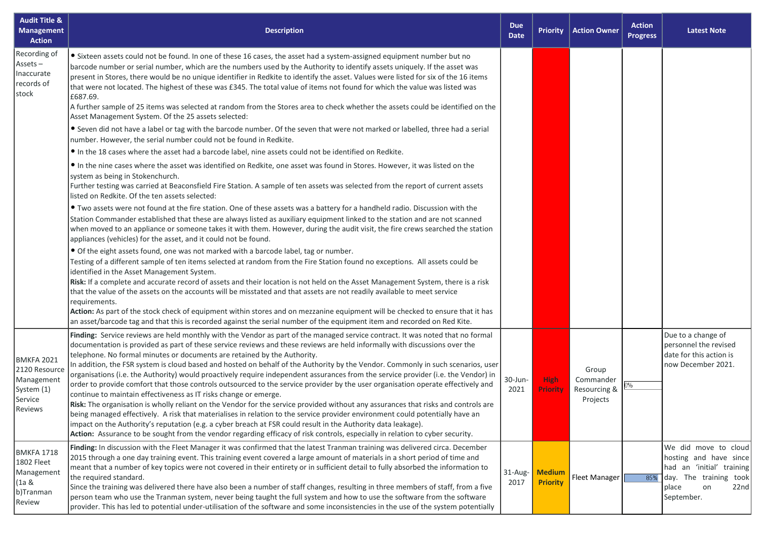| <b>Audit Title &amp;</b><br><b>Management</b><br><b>Action</b>                       | <b>Description</b>                                                                                                                                                                                                                                                                                                                                                                                                                                                                                                                                                                                                                                                                                                                                                                                                                                                                                                                                                                                                                                                                                                                                                                                                                                                                                                                                                                                                                                                                                                                                                                                                                                                                                                                                                                                                                                                                                                                                                                                                                                                                                                                                                                                                                                                                                                                                                                                                                                                                                                                                                                                                                                                                             | <b>Due</b><br><b>Date</b> | <b>Priority</b>                  | <b>Action Owner</b>                            | <b>Action</b><br><b>Progress</b> | <b>Latest Note</b>                                                                                                                         |
|--------------------------------------------------------------------------------------|------------------------------------------------------------------------------------------------------------------------------------------------------------------------------------------------------------------------------------------------------------------------------------------------------------------------------------------------------------------------------------------------------------------------------------------------------------------------------------------------------------------------------------------------------------------------------------------------------------------------------------------------------------------------------------------------------------------------------------------------------------------------------------------------------------------------------------------------------------------------------------------------------------------------------------------------------------------------------------------------------------------------------------------------------------------------------------------------------------------------------------------------------------------------------------------------------------------------------------------------------------------------------------------------------------------------------------------------------------------------------------------------------------------------------------------------------------------------------------------------------------------------------------------------------------------------------------------------------------------------------------------------------------------------------------------------------------------------------------------------------------------------------------------------------------------------------------------------------------------------------------------------------------------------------------------------------------------------------------------------------------------------------------------------------------------------------------------------------------------------------------------------------------------------------------------------------------------------------------------------------------------------------------------------------------------------------------------------------------------------------------------------------------------------------------------------------------------------------------------------------------------------------------------------------------------------------------------------------------------------------------------------------------------------------------------------|---------------------------|----------------------------------|------------------------------------------------|----------------------------------|--------------------------------------------------------------------------------------------------------------------------------------------|
| Recording of<br>$Assets -$<br>Inaccurate<br>records of<br>stock                      | • Sixteen assets could not be found. In one of these 16 cases, the asset had a system-assigned equipment number but no<br>barcode number or serial number, which are the numbers used by the Authority to identify assets uniquely. If the asset was<br>present in Stores, there would be no unique identifier in Redkite to identify the asset. Values were listed for six of the 16 items<br>that were not located. The highest of these was £345. The total value of items not found for which the value was listed was<br>£687.69.<br>A further sample of 25 items was selected at random from the Stores area to check whether the assets could be identified on the<br>Asset Management System. Of the 25 assets selected:<br>• Seven did not have a label or tag with the barcode number. Of the seven that were not marked or labelled, three had a serial<br>number. However, the serial number could not be found in Redkite.<br>In the 18 cases where the asset had a barcode label, nine assets could not be identified on Redkite.<br>In the nine cases where the asset was identified on Redkite, one asset was found in Stores. However, it was listed on the<br>system as being in Stokenchurch.<br>Further testing was carried at Beaconsfield Fire Station. A sample of ten assets was selected from the report of current assets<br>listed on Redkite. Of the ten assets selected:<br>. Two assets were not found at the fire station. One of these assets was a battery for a handheld radio. Discussion with the<br>Station Commander established that these are always listed as auxiliary equipment linked to the station and are not scanned<br>when moved to an appliance or someone takes it with them. However, during the audit visit, the fire crews searched the station<br>appliances (vehicles) for the asset, and it could not be found.<br>• Of the eight assets found, one was not marked with a barcode label, tag or number.<br>Testing of a different sample of ten items selected at random from the Fire Station found no exceptions. All assets could be<br>identified in the Asset Management System.<br>Risk: If a complete and accurate record of assets and their location is not held on the Asset Management System, there is a risk<br>that the value of the assets on the accounts will be misstated and that assets are not readily available to meet service<br>requirements.<br>Action: As part of the stock check of equipment within stores and on mezzanine equipment will be checked to ensure that it has<br>an asset/barcode tag and that this is recorded against the serial number of the equipment item and recorded on Red Kite. |                           |                                  |                                                |                                  |                                                                                                                                            |
| <b>BMKFA 2021</b><br>2120 Resource<br>Management<br>System (1)<br>Service<br>Reviews | Finding: Service reviews are held monthly with the Vendor as part of the managed service contract. It was noted that no formal<br>documentation is provided as part of these service reviews and these reviews are held informally with discussions over the<br>telephone. No formal minutes or documents are retained by the Authority.<br>In addition, the FSR system is cloud based and hosted on behalf of the Authority by the Vendor. Commonly in such scenarios, user<br>organisations (i.e. the Authority) would proactively require independent assurances from the service provider (i.e. the Vendor) in<br>order to provide comfort that those controls outsourced to the service provider by the user organisation operate effectively and<br>continue to maintain effectiveness as IT risks change or emerge.<br>Risk: The organisation is wholly reliant on the Vendor for the service provided without any assurances that risks and controls are<br>being managed effectively. A risk that materialises in relation to the service provider environment could potentially have an<br>impact on the Authority's reputation (e.g. a cyber breach at FSR could result in the Authority data leakage).<br>Action: Assurance to be sought from the vendor regarding efficacy of risk controls, especially in relation to cyber security.                                                                                                                                                                                                                                                                                                                                                                                                                                                                                                                                                                                                                                                                                                                                                                                                                                                                                                                                                                                                                                                                                                                                                                                                                                                                                                                                            | 30-Jun-<br>2021           | <b>High</b><br>Priority          | Group<br>Commander<br>Resourcing &<br>Projects |                                  | Due to a change of<br>personnel the revised<br>date for this action is<br>now December 2021.                                               |
| <b>BMKFA 1718</b><br>1802 Fleet<br>Management<br>(1a &<br>b)Tranman<br>Review        | Finding: In discussion with the Fleet Manager it was confirmed that the latest Tranman training was delivered circa. December<br>2015 through a one day training event. This training event covered a large amount of materials in a short period of time and<br>meant that a number of key topics were not covered in their entirety or in sufficient detail to fully absorbed the information to<br>the required standard.<br>Since the training was delivered there have also been a number of staff changes, resulting in three members of staff, from a five<br>person team who use the Tranman system, never being taught the full system and how to use the software from the software<br>provider. This has led to potential under-utilisation of the software and some inconsistencies in the use of the system potentially                                                                                                                                                                                                                                                                                                                                                                                                                                                                                                                                                                                                                                                                                                                                                                                                                                                                                                                                                                                                                                                                                                                                                                                                                                                                                                                                                                                                                                                                                                                                                                                                                                                                                                                                                                                                                                                           | 31-Aug-<br>2017           | <b>Medium</b><br><b>Priority</b> | Fleet Manager                                  | 85%                              | We did move to cloud<br>hosting and have since<br>had an 'initial' training<br>day. The training took<br>22nd<br>place<br>on<br>September. |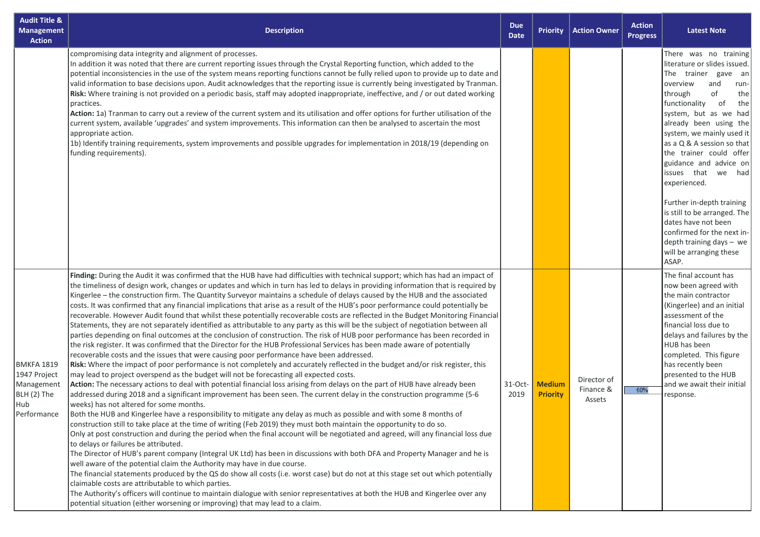| <b>Audit Title &amp;</b><br><b>Management</b><br><b>Action</b>                       | <b>Description</b>                                                                                                                                                                                                                                                                                                                                                                                                                                                                                                                                                                                                                                                                                                                                                                                                                                                                                                                                                                                                                                                                                                                                                                                                                                                                                                                                                                                                                                                                                                                                                                                                                                                                                                                                                                                                                                                                                                                                                                                                                                                                                                                                                                                                                                                                                                                                                                                                                                                                                                                                                                                                                                                                                                                                                        | <b>Due</b><br><b>Date</b> | <b>Priority</b>                  | <b>Action Owner</b>                | <b>Action</b><br><b>Progress</b> | <b>Latest Note</b>                                                                                                                                                                                                                                                                                                                                                                                                                                                                                                                                       |
|--------------------------------------------------------------------------------------|---------------------------------------------------------------------------------------------------------------------------------------------------------------------------------------------------------------------------------------------------------------------------------------------------------------------------------------------------------------------------------------------------------------------------------------------------------------------------------------------------------------------------------------------------------------------------------------------------------------------------------------------------------------------------------------------------------------------------------------------------------------------------------------------------------------------------------------------------------------------------------------------------------------------------------------------------------------------------------------------------------------------------------------------------------------------------------------------------------------------------------------------------------------------------------------------------------------------------------------------------------------------------------------------------------------------------------------------------------------------------------------------------------------------------------------------------------------------------------------------------------------------------------------------------------------------------------------------------------------------------------------------------------------------------------------------------------------------------------------------------------------------------------------------------------------------------------------------------------------------------------------------------------------------------------------------------------------------------------------------------------------------------------------------------------------------------------------------------------------------------------------------------------------------------------------------------------------------------------------------------------------------------------------------------------------------------------------------------------------------------------------------------------------------------------------------------------------------------------------------------------------------------------------------------------------------------------------------------------------------------------------------------------------------------------------------------------------------------------------------------------------------------|---------------------------|----------------------------------|------------------------------------|----------------------------------|----------------------------------------------------------------------------------------------------------------------------------------------------------------------------------------------------------------------------------------------------------------------------------------------------------------------------------------------------------------------------------------------------------------------------------------------------------------------------------------------------------------------------------------------------------|
|                                                                                      | compromising data integrity and alignment of processes.<br>In addition it was noted that there are current reporting issues through the Crystal Reporting function, which added to the<br>potential inconsistencies in the use of the system means reporting functions cannot be fully relied upon to provide up to date and<br>valid information to base decisions upon. Audit acknowledges that the reporting issue is currently being investigated by Tranman.<br>Risk: Where training is not provided on a periodic basis, staff may adopted inappropriate, ineffective, and / or out dated working<br>practices.<br>Action: 1a) Tranman to carry out a review of the current system and its utilisation and offer options for further utilisation of the<br>current system, available 'upgrades' and system improvements. This information can then be analysed to ascertain the most<br>appropriate action.<br>1b) Identify training requirements, system improvements and possible upgrades for implementation in 2018/19 (depending on<br>funding requirements).                                                                                                                                                                                                                                                                                                                                                                                                                                                                                                                                                                                                                                                                                                                                                                                                                                                                                                                                                                                                                                                                                                                                                                                                                                                                                                                                                                                                                                                                                                                                                                                                                                                                                                  |                           |                                  |                                    |                                  | There was no training<br>literature or slides issued.<br>The trainer gave an<br>overview<br>and<br>run-<br>of<br>through<br>the<br>functionality<br>of<br>the<br>system, but as we had<br>already been using the<br>system, we mainly used it<br>as a Q & A session so that<br>the trainer could offer<br>guidance and advice on<br>issues that we had<br>experienced.<br>Further in-depth training<br>is still to be arranged. The<br>dates have not been<br>confirmed for the next in-<br>depth training days - we<br>will be arranging these<br>ASAP. |
| <b>BMKFA 1819</b><br>1947 Project<br>Management<br>BLH (2) The<br>Hub<br>Performance | Finding: During the Audit it was confirmed that the HUB have had difficulties with technical support; which has had an impact of<br>the timeliness of design work, changes or updates and which in turn has led to delays in providing information that is required by<br>Kingerlee - the construction firm. The Quantity Surveyor maintains a schedule of delays caused by the HUB and the associated<br>costs. It was confirmed that any financial implications that arise as a result of the HUB's poor performance could potentially be<br>recoverable. However Audit found that whilst these potentially recoverable costs are reflected in the Budget Monitoring Financial<br>Statements, they are not separately identified as attributable to any party as this will be the subject of negotiation between all<br>parties depending on final outcomes at the conclusion of construction. The risk of HUB poor performance has been recorded in<br>the risk register. It was confirmed that the Director for the HUB Professional Services has been made aware of potentially<br>recoverable costs and the issues that were causing poor performance have been addressed.<br>Risk: Where the impact of poor performance is not completely and accurately reflected in the budget and/or risk register, this<br>may lead to project overspend as the budget will not be forecasting all expected costs.<br>Action: The necessary actions to deal with potential financial loss arising from delays on the part of HUB have already been<br>addressed during 2018 and a significant improvement has been seen. The current delay in the construction programme (5-6<br>weeks) has not altered for some months.<br>Both the HUB and Kingerlee have a responsibility to mitigate any delay as much as possible and with some 8 months of<br>construction still to take place at the time of writing (Feb 2019) they must both maintain the opportunity to do so.<br>Only at post construction and during the period when the final account will be negotiated and agreed, will any financial loss due<br>to delays or failures be attributed.<br>The Director of HUB's parent company (Integral UK Ltd) has been in discussions with both DFA and Property Manager and he is<br>well aware of the potential claim the Authority may have in due course.<br>The financial statements produced by the QS do show all costs (i.e. worst case) but do not at this stage set out which potentially<br>claimable costs are attributable to which parties.<br>The Authority's officers will continue to maintain dialogue with senior representatives at both the HUB and Kingerlee over any<br>potential situation (either worsening or improving) that may lead to a claim. | 31-Oct-<br>2019           | <b>Medium</b><br><b>Priority</b> | Director of<br>Finance &<br>Assets | 60%                              | The final account has<br>now been agreed with<br>the main contractor<br>(Kingerlee) and an initial<br>assessment of the<br>financial loss due to<br>delays and failures by the<br>HUB has been<br>completed. This figure<br>has recently been<br>presented to the HUB<br>and we await their initial<br>response.                                                                                                                                                                                                                                         |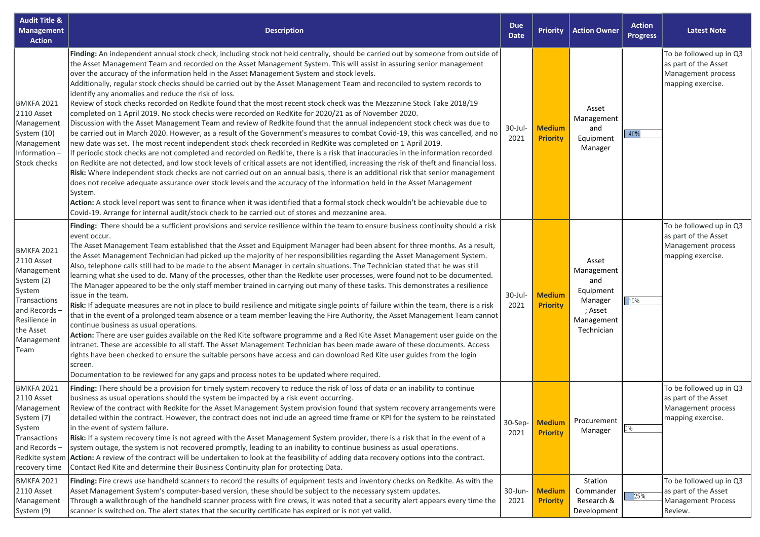| <b>Audit Title &amp;</b><br><b>Management</b><br><b>Action</b>                                                                                             | <b>Description</b>                                                                                                                                                                                                                                                                                                                                                                                                                                                                                                                                                                                                                                                                                                                                                                                                                                                                                                                                                                                                                                                                                                                                                                                                                                                                                                                                                                                                                                                                                                                                                                                                                                                                                                                                                                                                                                                                                                                                           | <b>Due</b><br><b>Date</b> | <b>Priority</b>                  | <b>Action Owner</b>                                                                       | <b>Action</b><br><b>Progress</b> | <b>Latest Note</b>                                                                         |
|------------------------------------------------------------------------------------------------------------------------------------------------------------|--------------------------------------------------------------------------------------------------------------------------------------------------------------------------------------------------------------------------------------------------------------------------------------------------------------------------------------------------------------------------------------------------------------------------------------------------------------------------------------------------------------------------------------------------------------------------------------------------------------------------------------------------------------------------------------------------------------------------------------------------------------------------------------------------------------------------------------------------------------------------------------------------------------------------------------------------------------------------------------------------------------------------------------------------------------------------------------------------------------------------------------------------------------------------------------------------------------------------------------------------------------------------------------------------------------------------------------------------------------------------------------------------------------------------------------------------------------------------------------------------------------------------------------------------------------------------------------------------------------------------------------------------------------------------------------------------------------------------------------------------------------------------------------------------------------------------------------------------------------------------------------------------------------------------------------------------------------|---------------------------|----------------------------------|-------------------------------------------------------------------------------------------|----------------------------------|--------------------------------------------------------------------------------------------|
| <b>BMKFA 2021</b><br>2110 Asset<br>Management<br>System (10)<br>Management<br>Information-<br>Stock checks                                                 | Finding: An independent annual stock check, including stock not held centrally, should be carried out by someone from outside of<br>the Asset Management Team and recorded on the Asset Management System. This will assist in assuring senior management<br>over the accuracy of the information held in the Asset Management System and stock levels.<br>Additionally, regular stock checks should be carried out by the Asset Management Team and reconciled to system records to<br>identify any anomalies and reduce the risk of loss.<br>Review of stock checks recorded on Redkite found that the most recent stock check was the Mezzanine Stock Take 2018/19<br>completed on 1 April 2019. No stock checks were recorded on RedKite for 2020/21 as of November 2020.<br>Discussion with the Asset Management Team and review of Redkite found that the annual independent stock check was due to<br>be carried out in March 2020. However, as a result of the Government's measures to combat Covid-19, this was cancelled, and no<br>new date was set. The most recent independent stock check recorded in RedKite was completed on 1 April 2019.<br>If periodic stock checks are not completed and recorded on Redkite, there is a risk that inaccuracies in the information recorded<br>on Redkite are not detected, and low stock levels of critical assets are not identified, increasing the risk of theft and financial loss.<br>Risk: Where independent stock checks are not carried out on an annual basis, there is an additional risk that senior management<br>does not receive adequate assurance over stock levels and the accuracy of the information held in the Asset Management<br>System.<br>Action: A stock level report was sent to finance when it was identified that a formal stock check wouldn't be achievable due to<br>Covid-19. Arrange for internal audit/stock check to be carried out of stores and mezzanine area. | 30-Jul-<br>2021           | <b>Medium</b><br><b>Priority</b> | Asset<br>Management<br>and<br>Equipment<br>Manager                                        | 40%                              | To be followed up in Q3<br>as part of the Asset<br>Management process<br>mapping exercise. |
| <b>BMKFA 2021</b><br>2110 Asset<br>Management<br>System (2)<br>System<br>Transactions<br>and Records –<br>Resilience in<br>the Asset<br>Management<br>Team | Finding: There should be a sufficient provisions and service resilience within the team to ensure business continuity should a risk<br>event occur.<br>The Asset Management Team established that the Asset and Equipment Manager had been absent for three months. As a result,<br>the Asset Management Technician had picked up the majority of her responsibilities regarding the Asset Management System.<br>Also, telephone calls still had to be made to the absent Manager in certain situations. The Technician stated that he was still<br>learning what she used to do. Many of the processes, other than the Redkite user processes, were found not to be documented.<br>The Manager appeared to be the only staff member trained in carrying out many of these tasks. This demonstrates a resilience<br>issue in the team.<br>Risk: If adequate measures are not in place to build resilience and mitigate single points of failure within the team, there is a risk<br>that in the event of a prolonged team absence or a team member leaving the Fire Authority, the Asset Management Team cannot<br>continue business as usual operations.<br>Action: There are user guides available on the Red Kite software programme and a Red Kite Asset Management user guide on the<br>intranet. These are accessible to all staff. The Asset Management Technician has been made aware of these documents. Access<br>rights have been checked to ensure the suitable persons have access and can download Red Kite user guides from the login<br>screen.<br>Documentation to be reviewed for any gaps and process notes to be updated where required.                                                                                                                                                                                                                                                                                                 | 30-Jul-<br>2021           | <b>Medium</b><br><b>Priority</b> | Asset<br>Management<br>and<br>Equipment<br>Manager<br>; Asset<br>Management<br>Technician | 10%                              | To be followed up in Q3<br>as part of the Asset<br>Management process<br>mapping exercise. |
| <b>BMKFA 2021</b><br>2110 Asset<br>Management<br>System (7)<br>System<br>Transactions<br>and Records-<br>Redkite system<br>recovery time                   | Finding: There should be a provision for timely system recovery to reduce the risk of loss of data or an inability to continue<br>business as usual operations should the system be impacted by a risk event occurring.<br>Review of the contract with Redkite for the Asset Management System provision found that system recovery arrangements were<br>detailed within the contract. However, the contract does not include an agreed time frame or KPI for the system to be reinstated<br>in the event of system failure.<br>Risk: If a system recovery time is not agreed with the Asset Management System provider, there is a risk that in the event of a<br>system outage, the system is not recovered promptly, leading to an inability to continue business as usual operations.<br>Action: A review of the contract will be undertaken to look at the feasibility of adding data recovery options into the contract.<br>Contact Red Kite and determine their Business Continuity plan for protecting Data.                                                                                                                                                                                                                                                                                                                                                                                                                                                                                                                                                                                                                                                                                                                                                                                                                                                                                                                                         | 30-Sep-<br>2021           | <b>Medium</b><br><b>Priority</b> | Procurement<br>Manager                                                                    | 0%                               | To be followed up in Q3<br>as part of the Asset<br>Management process<br>mapping exercise. |
| <b>BMKFA 2021</b><br>2110 Asset<br>Management<br>System (9)                                                                                                | Finding: Fire crews use handheld scanners to record the results of equipment tests and inventory checks on Redkite. As with the<br>Asset Management System's computer-based version, these should be subject to the necessary system updates.<br>Through a walkthrough of the handheld scanner process with fire crews, it was noted that a security alert appears every time the<br>scanner is switched on. The alert states that the security certificate has expired or is not yet valid.                                                                                                                                                                                                                                                                                                                                                                                                                                                                                                                                                                                                                                                                                                                                                                                                                                                                                                                                                                                                                                                                                                                                                                                                                                                                                                                                                                                                                                                                 | 30-Jun-<br>2021           | <b>Medium</b><br><b>Priority</b> | Station<br>Commander<br>Research &<br>Development                                         | 25%                              | To be followed up in Q3<br>as part of the Asset<br><b>Management Process</b><br>Review.    |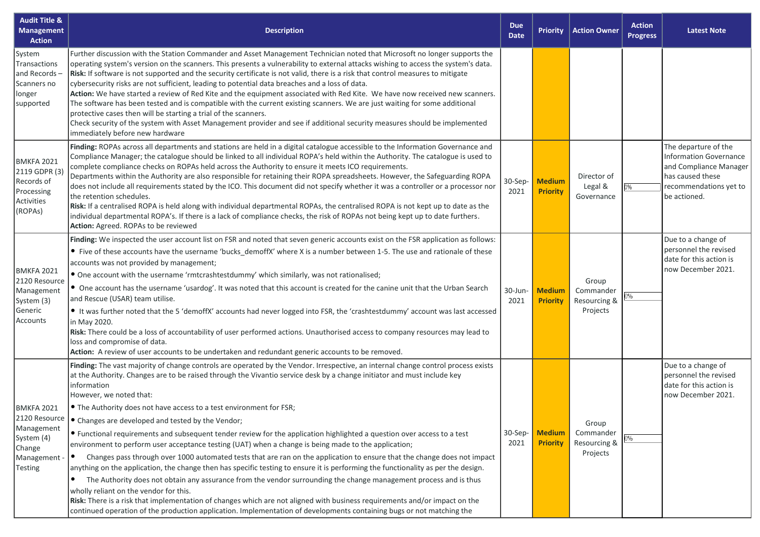| <b>Audit Title &amp;</b><br><b>Management</b><br><b>Action</b>                                             | <b>Description</b>                                                                                                                                                                                                                                                                                                                                                                                                                                                                                                                                                                                                                                                                                                                                                                                                                                                                                                                                                                                                                                                                                                                                                                                                                                                                                                                                                                     | <b>Due</b><br><b>Date</b> | <b>Priority</b>                  | <b>Action Owner</b>                            | <b>Action</b><br><b>Progress</b> | <b>Latest Note</b>                                                                                                                            |
|------------------------------------------------------------------------------------------------------------|----------------------------------------------------------------------------------------------------------------------------------------------------------------------------------------------------------------------------------------------------------------------------------------------------------------------------------------------------------------------------------------------------------------------------------------------------------------------------------------------------------------------------------------------------------------------------------------------------------------------------------------------------------------------------------------------------------------------------------------------------------------------------------------------------------------------------------------------------------------------------------------------------------------------------------------------------------------------------------------------------------------------------------------------------------------------------------------------------------------------------------------------------------------------------------------------------------------------------------------------------------------------------------------------------------------------------------------------------------------------------------------|---------------------------|----------------------------------|------------------------------------------------|----------------------------------|-----------------------------------------------------------------------------------------------------------------------------------------------|
| System<br>Transactions<br>and Records-<br>Scanners no<br>longer<br>supported                               | Further discussion with the Station Commander and Asset Management Technician noted that Microsoft no longer supports the<br>operating system's version on the scanners. This presents a vulnerability to external attacks wishing to access the system's data.<br>Risk: If software is not supported and the security certificate is not valid, there is a risk that control measures to mitigate<br>cybersecurity risks are not sufficient, leading to potential data breaches and a loss of data.<br>Action: We have started a review of Red Kite and the equipment associated with Red Kite. We have now received new scanners.<br>The software has been tested and is compatible with the current existing scanners. We are just waiting for some additional<br>protective cases then will be starting a trial of the scanners.<br>Check security of the system with Asset Management provider and see if additional security measures should be implemented<br>immediately before new hardware                                                                                                                                                                                                                                                                                                                                                                                   |                           |                                  |                                                |                                  |                                                                                                                                               |
| <b>BMKFA 2021</b><br>2119 GDPR (3)<br>Records of<br>Processing<br>Activities<br>(ROPAs)                    | Finding: ROPAs across all departments and stations are held in a digital catalogue accessible to the Information Governance and<br>Compliance Manager; the catalogue should be linked to all individual ROPA's held within the Authority. The catalogue is used to<br>complete compliance checks on ROPAs held across the Authority to ensure it meets ICO requirements.<br>Departments within the Authority are also responsible for retaining their ROPA spreadsheets. However, the Safeguarding ROPA<br>does not include all requirements stated by the ICO. This document did not specify whether it was a controller or a processor nor<br>the retention schedules.<br>Risk: If a centralised ROPA is held along with individual departmental ROPAs, the centralised ROPA is not kept up to date as the<br>individual departmental ROPA's. If there is a lack of compliance checks, the risk of ROPAs not being kept up to date furthers.<br>Action: Agreed. ROPAs to be reviewed                                                                                                                                                                                                                                                                                                                                                                                                 | 30-Sep-<br>2021           | <b>Medium</b><br><b>Priority</b> | Director of<br>Legal &<br>Governance           |                                  | The departure of the<br><b>Information Governance</b><br>and Compliance Manager<br>has caused these<br>recommendations yet to<br>be actioned. |
| <b>BMKFA 2021</b><br>2120 Resource<br>Management<br>System (3)<br>Generic<br>Accounts                      | Finding: We inspected the user account list on FSR and noted that seven generic accounts exist on the FSR application as follows:<br>• Five of these accounts have the username 'bucks_demoffX' where X is a number between 1-5. The use and rationale of these<br>accounts was not provided by management;<br>• One account with the username 'rmtcrashtestdummy' which similarly, was not rationalised;<br>• One account has the username 'usardog'. It was noted that this account is created for the canine unit that the Urban Search<br>and Rescue (USAR) team utilise.<br>It was further noted that the 5 'demoffX' accounts had never logged into FSR, the 'crashtestdummy' account was last accessed<br>in May 2020.<br>Risk: There could be a loss of accountability of user performed actions. Unauthorised access to company resources may lead to<br>loss and compromise of data.<br>Action: A review of user accounts to be undertaken and redundant generic accounts to be removed.                                                                                                                                                                                                                                                                                                                                                                                     | 30-Jun-<br>2021           | <b>Medium</b><br><b>Priority</b> | Group<br>Commander<br>Resourcing &<br>Projects | J%                               | Due to a change of<br>personnel the revised<br>date for this action is<br>now December 2021.                                                  |
| <b>BMKFA 2021</b><br>2120 Resource<br>Management<br>System (4)<br>Change<br>Management -<br><b>Testing</b> | Finding: The vast majority of change controls are operated by the Vendor. Irrespective, an internal change control process exists<br>at the Authority. Changes are to be raised through the Vivantio service desk by a change initiator and must include key<br>information<br>However, we noted that:<br>• The Authority does not have access to a test environment for FSR;<br>• Changes are developed and tested by the Vendor;<br>• Functional requirements and subsequent tender review for the application highlighted a question over access to a test<br>environment to perform user acceptance testing (UAT) when a change is being made to the application;<br>Changes pass through over 1000 automated tests that are ran on the application to ensure that the change does not impact<br>$\bullet$<br>anything on the application, the change then has specific testing to ensure it is performing the functionality as per the design.<br>The Authority does not obtain any assurance from the vendor surrounding the change management process and is thus<br>$\bullet$<br>wholly reliant on the vendor for this.<br>Risk: There is a risk that implementation of changes which are not aligned with business requirements and/or impact on the<br>continued operation of the production application. Implementation of developments containing bugs or not matching the | $30-Sep-$<br>2021         | <b>Medium</b><br><b>Priority</b> | Group<br>Commander<br>Resourcing &<br>Projects | 0%                               | Due to a change of<br>personnel the revised<br>date for this action is<br>now December 2021.                                                  |